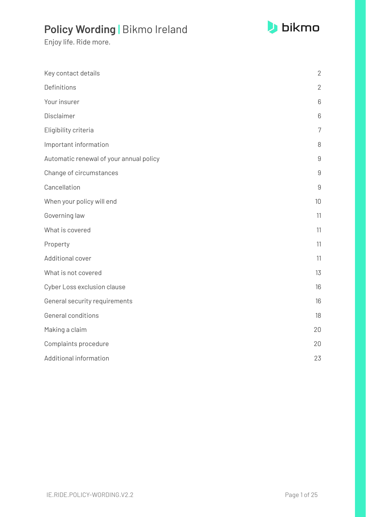

| Key contact details                     | $\overline{2}$ |
|-----------------------------------------|----------------|
| Definitions                             | $\mathbf{2}$   |
| Your insurer                            | 6              |
| Disclaimer                              | 6              |
| Eligibility criteria                    | $\overline{7}$ |
| Important information                   | 8              |
| Automatic renewal of your annual policy | $\mathsf g$    |
| Change of circumstances                 | 9              |
| Cancellation                            | 9              |
| When your policy will end               | 10             |
| Governing law                           | 11             |
| What is covered                         | 11             |
| Property                                | 11             |
| Additional cover                        | 11             |
| What is not covered                     | 13             |
| Cyber Loss exclusion clause             | 16             |
| General security requirements           | 16             |
| General conditions                      | 18             |
| Making a claim                          | 20             |
| Complaints procedure                    | 20             |
| Additional information                  | 23             |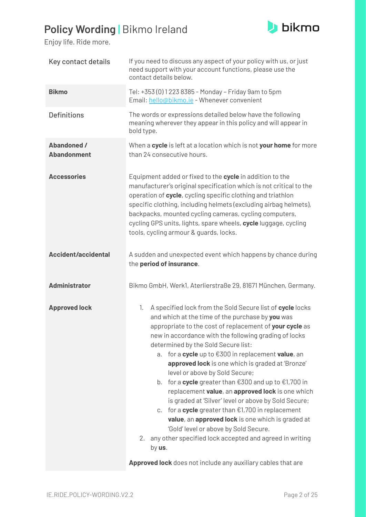

<span id="page-1-1"></span><span id="page-1-0"></span>

| Key contact details                      | If you need to discuss any aspect of your policy with us, or just<br>need support with your account functions, please use the<br>contact details below.                                                                                                                                                                                                                                                                                                                                                                                                                                                                                                                                                                                                                                                                                               |
|------------------------------------------|-------------------------------------------------------------------------------------------------------------------------------------------------------------------------------------------------------------------------------------------------------------------------------------------------------------------------------------------------------------------------------------------------------------------------------------------------------------------------------------------------------------------------------------------------------------------------------------------------------------------------------------------------------------------------------------------------------------------------------------------------------------------------------------------------------------------------------------------------------|
| <b>Bikmo</b>                             | Tel: +353 (0) 1 223 8385 - Monday - Friday 9am to 5pm<br>Email: hello@bikmo.ie - Whenever convenient                                                                                                                                                                                                                                                                                                                                                                                                                                                                                                                                                                                                                                                                                                                                                  |
| <b>Definitions</b>                       | The words or expressions detailed below have the following<br>meaning wherever they appear in this policy and will appear in<br>bold type.                                                                                                                                                                                                                                                                                                                                                                                                                                                                                                                                                                                                                                                                                                            |
| <b>Abandoned /</b><br><b>Abandonment</b> | When a cycle is left at a location which is not your home for more<br>than 24 consecutive hours.                                                                                                                                                                                                                                                                                                                                                                                                                                                                                                                                                                                                                                                                                                                                                      |
| <b>Accessories</b>                       | Equipment added or fixed to the cycle in addition to the<br>manufacturer's original specification which is not critical to the<br>operation of cycle, cycling specific clothing and triathlon<br>specific clothing, including helmets (excluding airbag helmets),<br>backpacks, mounted cycling cameras, cycling computers,<br>cycling GPS units, lights, spare wheels, cycle luggage, cycling<br>tools, cycling armour & guards, locks.                                                                                                                                                                                                                                                                                                                                                                                                              |
| <b>Accident/accidental</b>               | A sudden and unexpected event which happens by chance during<br>the period of insurance.                                                                                                                                                                                                                                                                                                                                                                                                                                                                                                                                                                                                                                                                                                                                                              |
| <b>Administrator</b>                     | Bikmo GmbH, Werk1, Aterlierstraße 29, 81671 München, Germany.                                                                                                                                                                                                                                                                                                                                                                                                                                                                                                                                                                                                                                                                                                                                                                                         |
| <b>Approved lock</b>                     | A specified lock from the Sold Secure list of cycle locks<br>1.<br>and which at the time of the purchase by you was<br>appropriate to the cost of replacement of your cycle as<br>new in accordance with the following grading of locks<br>determined by the Sold Secure list:<br>for a cycle up to €300 in replacement value, an<br>a.<br>approved lock is one which is graded at 'Bronze'<br>level or above by Sold Secure;<br>b. for a cycle greater than $\epsilon$ 300 and up to $\epsilon$ 1,700 in<br>replacement value, an approved lock is one which<br>is graded at 'Silver' level or above by Sold Secure;<br>c. for a cycle greater than $E1,700$ in replacement<br>value, an approved lock is one which is graded at<br>'Gold' level or above by Sold Secure.<br>any other specified lock accepted and agreed in writing<br>2.<br>by us. |
|                                          | Approved lock does not include any auxiliary cables that are                                                                                                                                                                                                                                                                                                                                                                                                                                                                                                                                                                                                                                                                                                                                                                                          |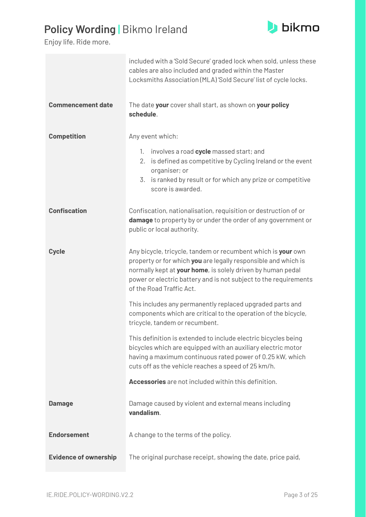#### **b**ikmo

### **Policy Wording |** Bikmo Ireland

|                              | included with a 'Sold Secure' graded lock when sold, unless these<br>cables are also included and graded within the Master<br>Locksmiths Association (MLA)'Sold Secure' list of cycle locks.                                                                                                  |
|------------------------------|-----------------------------------------------------------------------------------------------------------------------------------------------------------------------------------------------------------------------------------------------------------------------------------------------|
| <b>Commencement date</b>     | The date your cover shall start, as shown on your policy<br>schedule.                                                                                                                                                                                                                         |
| <b>Competition</b>           | Any event which:                                                                                                                                                                                                                                                                              |
|                              | involves a road cycle massed start; and<br>1.<br>is defined as competitive by Cycling Ireland or the event<br>2.<br>organiser; or                                                                                                                                                             |
|                              | 3. is ranked by result or for which any prize or competitive<br>score is awarded.                                                                                                                                                                                                             |
| <b>Confiscation</b>          | Confiscation, nationalisation, requisition or destruction of or<br>damage to property by or under the order of any government or<br>public or local authority.                                                                                                                                |
| <b>Cycle</b>                 | Any bicycle, tricycle, tandem or recumbent which is your own<br>property or for which you are legally responsible and which is<br>normally kept at your home, is solely driven by human pedal<br>power or electric battery and is not subject to the requirements<br>of the Road Traffic Act. |
|                              | This includes any permanently replaced upgraded parts and<br>components which are critical to the operation of the bicycle,<br>tricycle, tandem or recumbent.                                                                                                                                 |
|                              | This definition is extended to include electric bicycles being<br>bicycles which are equipped with an auxiliary electric motor<br>having a maximum continuous rated power of 0.25 kW, which<br>cuts off as the vehicle reaches a speed of 25 km/h.                                            |
|                              | Accessories are not included within this definition.                                                                                                                                                                                                                                          |
| <b>Damage</b>                | Damage caused by violent and external means including<br>vandalism.                                                                                                                                                                                                                           |
| <b>Endorsement</b>           | A change to the terms of the policy.                                                                                                                                                                                                                                                          |
| <b>Evidence of ownership</b> | The original purchase receipt, showing the date, price paid,                                                                                                                                                                                                                                  |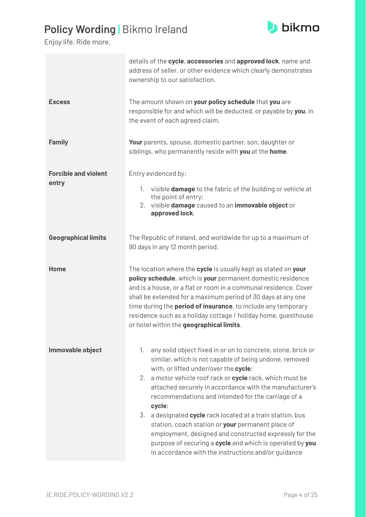

|                                      | details of the cycle, accessories and approved lock, name and<br>address of seller, or other evidence which clearly demonstrates<br>ownership to our satisfaction.                                                                                                                                                                                                                                                                                                                                                                                                                                                                                            |
|--------------------------------------|---------------------------------------------------------------------------------------------------------------------------------------------------------------------------------------------------------------------------------------------------------------------------------------------------------------------------------------------------------------------------------------------------------------------------------------------------------------------------------------------------------------------------------------------------------------------------------------------------------------------------------------------------------------|
| <b>Excess</b>                        | The amount shown on your policy schedule that you are<br>responsible for and which will be deducted, or payable by you, in<br>the event of each agreed claim.                                                                                                                                                                                                                                                                                                                                                                                                                                                                                                 |
| <b>Family</b>                        | Your parents, spouse, domestic partner, son, daughter or<br>siblings, who permanently reside with you at the home.                                                                                                                                                                                                                                                                                                                                                                                                                                                                                                                                            |
| <b>Forcible and violent</b><br>entry | Entry evidenced by:<br>visible <b>damage</b> to the fabric of the building or vehicle at<br>1.<br>the point of entry;<br>2. visible damage caused to an immovable object or<br>approved lock.                                                                                                                                                                                                                                                                                                                                                                                                                                                                 |
| <b>Geographical limits</b>           | The Republic of Ireland, and worldwide for up to a maximum of<br>90 days in any 12 month period.                                                                                                                                                                                                                                                                                                                                                                                                                                                                                                                                                              |
| Home                                 | The location where the cycle is usually kept as stated on your<br>policy schedule, which is your permanent domestic residence<br>and is a house, or a flat or room in a communal residence. Cover<br>shall be extended for a maximum period of 30 days at any one<br>time during the <b>period of insurance</b> , to include any temporary<br>residence such as a holiday cottage / holiday home, guesthouse<br>or hotel within the geographical limits.                                                                                                                                                                                                      |
| Immovable object                     | any solid object fixed in or on to concrete, stone, brick or<br>1.<br>similar, which is not capable of being undone, removed<br>with, or lifted under/over the cycle;<br>2. a motor vehicle roof rack or cycle rack, which must be<br>attached securely in accordance with the manufacturer's<br>recommendations and intended for the carriage of a<br>cycle;<br>3. a designated cycle rack located at a train station, bus<br>station, coach station or your permanent place of<br>employment, designed and constructed expressly for the<br>purpose of securing a cycle and which is operated by you<br>in accordance with the instructions and/or guidance |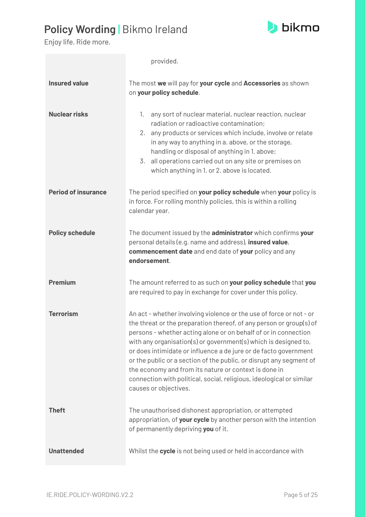

|                            | provided.                                                                                                                                                                                                                                                                                                                                                                                                                                                                                                                                                                             |
|----------------------------|---------------------------------------------------------------------------------------------------------------------------------------------------------------------------------------------------------------------------------------------------------------------------------------------------------------------------------------------------------------------------------------------------------------------------------------------------------------------------------------------------------------------------------------------------------------------------------------|
| <b>Insured value</b>       | The most we will pay for your cycle and Accessories as shown<br>on your policy schedule.                                                                                                                                                                                                                                                                                                                                                                                                                                                                                              |
| <b>Nuclear risks</b>       | any sort of nuclear material, nuclear reaction, nuclear<br>1.<br>radiation or radioactive contamination;<br>2. any products or services which include, involve or relate<br>in any way to anything in a. above, or the storage,<br>handling or disposal of anything in 1. above;<br>all operations carried out on any site or premises on<br>3.<br>which anything in 1. or 2. above is located.                                                                                                                                                                                       |
| <b>Period of insurance</b> | The period specified on your policy schedule when your policy is<br>in force. For rolling monthly policies, this is within a rolling<br>calendar year.                                                                                                                                                                                                                                                                                                                                                                                                                                |
| <b>Policy schedule</b>     | The document issued by the administrator which confirms your<br>personal details (e.g. name and address), insured value,<br>commencement date and end date of your policy and any<br>endorsement.                                                                                                                                                                                                                                                                                                                                                                                     |
| <b>Premium</b>             | The amount referred to as such on your policy schedule that you<br>are required to pay in exchange for cover under this policy.                                                                                                                                                                                                                                                                                                                                                                                                                                                       |
| <b>Terrorism</b>           | An act - whether involving violence or the use of force or not - or<br>the threat or the preparation thereof, of any person or group(s) of<br>persons - whether acting alone or on behalf of or in connection<br>with any organisation(s) or government(s) which is designed to,<br>or does intimidate or influence a de jure or de facto government<br>or the public or a section of the public, or disrupt any segment of<br>the economy and from its nature or context is done in<br>connection with political, social, religious, ideological or similar<br>causes or objectives. |
| <b>Theft</b>               | The unauthorised dishonest appropriation, or attempted<br>appropriation, of your cycle by another person with the intention<br>of permanently depriving you of it.                                                                                                                                                                                                                                                                                                                                                                                                                    |
| <b>Unattended</b>          | Whilst the cycle is not being used or held in accordance with                                                                                                                                                                                                                                                                                                                                                                                                                                                                                                                         |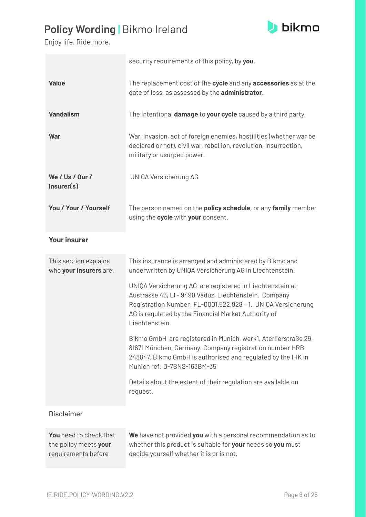

Enjoy life. Ride more.

|                                                 | security requirements of this policy, by you.                                                                                                                                                                                                               |
|-------------------------------------------------|-------------------------------------------------------------------------------------------------------------------------------------------------------------------------------------------------------------------------------------------------------------|
| <b>Value</b>                                    | The replacement cost of the cycle and any accessories as at the<br>date of loss, as assessed by the administrator.                                                                                                                                          |
| <b>Vandalism</b>                                | The intentional <b>damage</b> to <b>your cycle</b> caused by a third party.                                                                                                                                                                                 |
| <b>War</b>                                      | War, invasion, act of foreign enemies, hostilities (whether war be<br>declared or not), civil war, rebellion, revolution, insurrection,<br>military or usurped power.                                                                                       |
| We / Us / Our /<br>Insert(s)                    | UNIQA Versicherung AG                                                                                                                                                                                                                                       |
| You / Your / Yourself                           | The person named on the <b>policy schedule</b> , or any family member<br>using the cycle with your consent.                                                                                                                                                 |
| <b>Your insurer</b>                             |                                                                                                                                                                                                                                                             |
| This section explains<br>who your insurers are. | This insurance is arranged and administered by Bikmo and<br>underwritten by UNIQA Versicherung AG in Liechtenstein.                                                                                                                                         |
|                                                 | UNIQA Versicherung AG are registered in Liechtenstein at<br>Austrasse 46, LI - 9490 Vaduz, Liechtenstein. Company<br>Registration Number: FL-0001.522.928 - 1. UNIQA Versicherung<br>AG is regulated by the Financial Market Authority of<br>Liechtenstein. |
|                                                 | Bikmo GmbH are registered in Munich, werk1, Aterlierstraße 29,<br>81671 München, Germany. Company registration number HRB<br>248847. Bikmo GmbH is authorised and regulated by the IHK in<br>Munich ref: D-7BNS-163BM-35                                    |
|                                                 | Details about the extent of their regulation are available on<br>request.                                                                                                                                                                                   |
|                                                 |                                                                                                                                                                                                                                                             |
| <b>Disclaimer</b>                               |                                                                                                                                                                                                                                                             |

requirements before decide yourself whether it is or is not.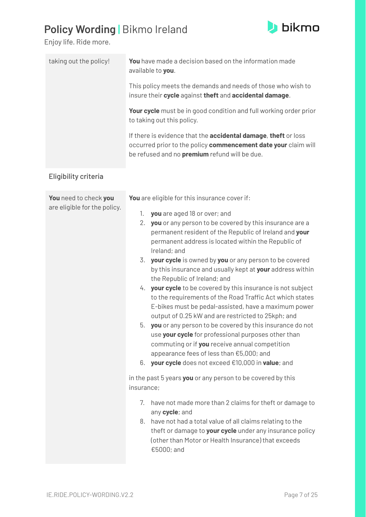

| taking out the policy!       | You have made a decision based on the information made<br>available to you.                                                                                                                                                                                                                                                                                                                                                                                                                                                                                                                                                                                                                                                                                                                                                                                                                                                   |
|------------------------------|-------------------------------------------------------------------------------------------------------------------------------------------------------------------------------------------------------------------------------------------------------------------------------------------------------------------------------------------------------------------------------------------------------------------------------------------------------------------------------------------------------------------------------------------------------------------------------------------------------------------------------------------------------------------------------------------------------------------------------------------------------------------------------------------------------------------------------------------------------------------------------------------------------------------------------|
|                              | This policy meets the demands and needs of those who wish to<br>insure their cycle against theft and accidental damage.                                                                                                                                                                                                                                                                                                                                                                                                                                                                                                                                                                                                                                                                                                                                                                                                       |
|                              | Your cycle must be in good condition and full working order prior<br>to taking out this policy.                                                                                                                                                                                                                                                                                                                                                                                                                                                                                                                                                                                                                                                                                                                                                                                                                               |
|                              | If there is evidence that the <b>accidental damage</b> , theft or loss<br>occurred prior to the policy commencement date your claim will<br>be refused and no <b>premium</b> refund will be due.                                                                                                                                                                                                                                                                                                                                                                                                                                                                                                                                                                                                                                                                                                                              |
| Eligibility criteria         |                                                                                                                                                                                                                                                                                                                                                                                                                                                                                                                                                                                                                                                                                                                                                                                                                                                                                                                               |
| You need to check you        | You are eligible for this insurance cover if:                                                                                                                                                                                                                                                                                                                                                                                                                                                                                                                                                                                                                                                                                                                                                                                                                                                                                 |
| are eligible for the policy. | you are aged 18 or over; and<br>1.<br>2. you or any person to be covered by this insurance are a<br>permanent resident of the Republic of Ireland and your<br>permanent address is located within the Republic of<br>Ireland; and<br>your cycle is owned by you or any person to be covered<br>3.<br>by this insurance and usually kept at your address within<br>the Republic of Ireland; and<br>your cycle to be covered by this insurance is not subject<br>4.<br>to the requirements of the Road Traffic Act which states<br>E-bikes must be pedal-assisted, have a maximum power<br>output of 0.25 kW and are restricted to 25 kph; and<br>you or any person to be covered by this insurance do not<br>5.<br>use your cycle for professional purposes other than<br>commuting or if you receive annual competition<br>appearance fees of less than €5,000; and<br>your cycle does not exceed €10,000 in value; and<br>6. |
|                              | in the past 5 years you or any person to be covered by this<br>insurance;                                                                                                                                                                                                                                                                                                                                                                                                                                                                                                                                                                                                                                                                                                                                                                                                                                                     |
|                              | 7.<br>have not made more than 2 claims for theft or damage to<br>any cycle; and<br>8. have not had a total value of all claims relating to the<br>theft or damage to your cycle under any insurance policy<br>(other than Motor or Health Insurance) that exceeds<br>€5000; and                                                                                                                                                                                                                                                                                                                                                                                                                                                                                                                                                                                                                                               |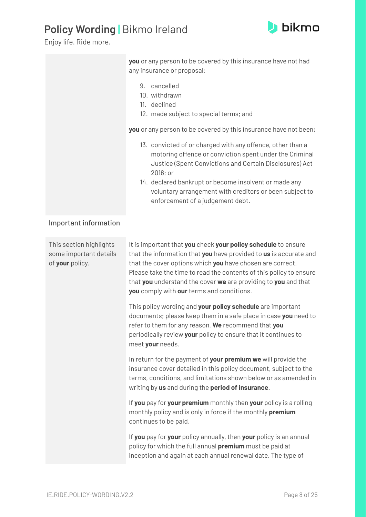

|                                                                      | you or any person to be covered by this insurance have not had<br>any insurance or proposal:                                                                                                                                                                                                                                                                                         |
|----------------------------------------------------------------------|--------------------------------------------------------------------------------------------------------------------------------------------------------------------------------------------------------------------------------------------------------------------------------------------------------------------------------------------------------------------------------------|
|                                                                      | 9. cancelled<br>10. withdrawn<br>11. declined<br>12. made subject to special terms; and                                                                                                                                                                                                                                                                                              |
|                                                                      | you or any person to be covered by this insurance have not been;                                                                                                                                                                                                                                                                                                                     |
|                                                                      | 13. convicted of or charged with any offence, other than a<br>motoring offence or conviction spent under the Criminal<br>Justice (Spent Convictions and Certain Disclosures) Act<br>2016; or                                                                                                                                                                                         |
|                                                                      | 14. declared bankrupt or become insolvent or made any<br>voluntary arrangement with creditors or been subject to<br>enforcement of a judgement debt.                                                                                                                                                                                                                                 |
| Important information                                                |                                                                                                                                                                                                                                                                                                                                                                                      |
| This section highlights<br>some important details<br>of your policy. | It is important that you check your policy schedule to ensure<br>that the information that you have provided to us is accurate and<br>that the cover options which you have chosen are correct.<br>Please take the time to read the contents of this policy to ensure<br>that you understand the cover we are providing to you and that<br>you comply with our terms and conditions. |
|                                                                      | This policy wording and your policy schedule are important<br>documents; please keep them in a safe place in case you need to<br>refer to them for any reason. We recommend that you<br>periodically review your policy to ensure that it continues to<br>meet your needs.                                                                                                           |
|                                                                      | In return for the payment of your premium we will provide the<br>insurance cover detailed in this policy document, subject to the<br>terms, conditions, and limitations shown below or as amended in<br>writing by us and during the period of insurance.                                                                                                                            |
|                                                                      | If you pay for your premium monthly then your policy is a rolling<br>monthly policy and is only in force if the monthly premium<br>continues to be paid.                                                                                                                                                                                                                             |
|                                                                      | If you pay for your policy annually, then your policy is an annual<br>policy for which the full annual premium must be paid at<br>inception and again at each annual renewal date. The type of                                                                                                                                                                                       |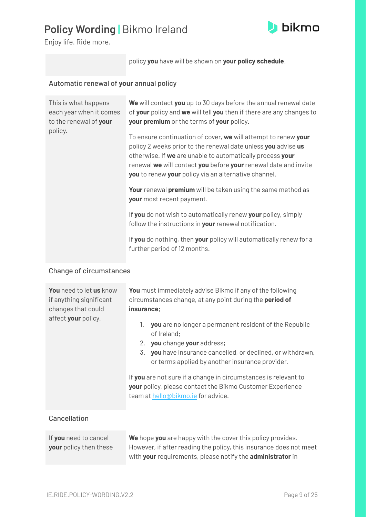

Enjoy life. Ride more.

policy **you** have will be shown on **your policy schedule**.

#### Automatic renewal of **your** annual policy

| This is what happens<br>each year when it comes<br>to the renewal of your | We will contact you up to 30 days before the annual renewal date<br>of your policy and we will tell you then if there are any changes to<br>your premium or the terms of your policy.                                                                                                                                   |
|---------------------------------------------------------------------------|-------------------------------------------------------------------------------------------------------------------------------------------------------------------------------------------------------------------------------------------------------------------------------------------------------------------------|
| policy.                                                                   | To ensure continuation of cover, we will attempt to renew your<br>policy 2 weeks prior to the renewal date unless you advise us<br>otherwise. If we are unable to automatically process your<br>renewal we will contact you before your renewal date and invite<br>you to renew your policy via an alternative channel. |
|                                                                           | Your renewal premium will be taken using the same method as<br>your most recent payment.                                                                                                                                                                                                                                |
|                                                                           | If you do not wish to automatically renew your policy, simply<br>follow the instructions in your renewal notification.                                                                                                                                                                                                  |
|                                                                           | If you do nothing, then your policy will automatically renew for a<br>further period of 12 months.                                                                                                                                                                                                                      |

#### Change of circumstances

| <b>You</b> need to let us know<br>if anything significant<br>changes that could<br>affect your policy. | <b>You</b> must immediately advise Bikmo if any of the following<br>circumstances change, at any point during the period of<br>insurance;<br><b>you</b> are no longer a permanent resident of the Republic<br>1.<br>of Ireland;<br>2. you change your address;<br>you have insurance cancelled, or declined, or withdrawn,<br>3.<br>or terms applied by another insurance provider.<br>If you are not sure if a change in circumstances is relevant to<br><b>your</b> policy, please contact the Bikmo Customer Experience<br>team at hello@bikmo.ie for advice. |
|--------------------------------------------------------------------------------------------------------|------------------------------------------------------------------------------------------------------------------------------------------------------------------------------------------------------------------------------------------------------------------------------------------------------------------------------------------------------------------------------------------------------------------------------------------------------------------------------------------------------------------------------------------------------------------|
| Cancellation                                                                                           |                                                                                                                                                                                                                                                                                                                                                                                                                                                                                                                                                                  |
| If you need to cancel                                                                                  | We hope you are happy with the cover this policy provides.                                                                                                                                                                                                                                                                                                                                                                                                                                                                                                       |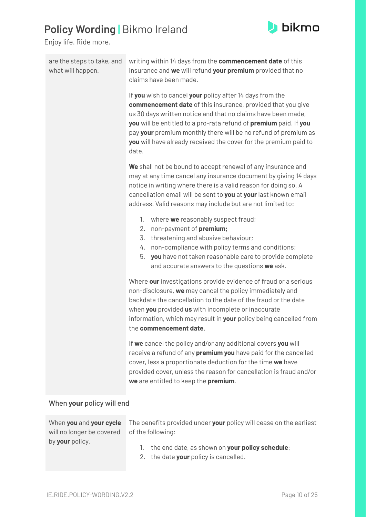

Enjoy life. Ride more.

| are the steps to take, and<br>what will happen. | writing within 14 days from the <b>commencement date</b> of this<br>insurance and we will refund your premium provided that no<br>claims have been made.                                                                                                                                                                                                                                                           |
|-------------------------------------------------|--------------------------------------------------------------------------------------------------------------------------------------------------------------------------------------------------------------------------------------------------------------------------------------------------------------------------------------------------------------------------------------------------------------------|
|                                                 | If you wish to cancel your policy after 14 days from the<br><b>commencement date</b> of this insurance, provided that you give<br>us 30 days written notice and that no claims have been made,<br>you will be entitled to a pro-rata refund of premium paid. If you<br>pay your premium monthly there will be no refund of premium as<br>you will have already received the cover for the premium paid to<br>date. |
|                                                 | We shall not be bound to accept renewal of any insurance and<br>may at any time cancel any insurance document by giving 14 days<br>notice in writing where there is a valid reason for doing so. A<br>cancellation email will be sent to you at your last known email<br>address. Valid reasons may include but are not limited to:                                                                                |
|                                                 | where we reasonably suspect fraud;<br>1.<br>non-payment of premium;<br>2.<br>threatening and abusive behaviour;<br>3.<br>non-compliance with policy terms and conditions;<br>4.<br>5.<br>you have not taken reasonable care to provide complete<br>and accurate answers to the questions we ask.                                                                                                                   |
|                                                 | Where our investigations provide evidence of fraud or a serious<br>non-disclosure, we may cancel the policy immediately and<br>backdate the cancellation to the date of the fraud or the date<br>when you provided us with incomplete or inaccurate<br>information, which may result in your policy being cancelled from<br>the commencement date.                                                                 |
|                                                 | If we cancel the policy and/or any additional covers you will<br>receive a refund of any premium you have paid for the cancelled<br>cover, less a proportionate deduction for the time we have<br>provided cover, unless the reason for cancellation is fraud and/or<br>we are entitled to keep the premium.                                                                                                       |

#### When **your** policy will end

will no longer be covered by **your** policy.

When **you** and **your cycle** The benefits provided under **your** policy will cease on the earliest of the following:

- 1. the end date, as shown on **your policy schedule**;
- 2. the date **your** policy is cancelled.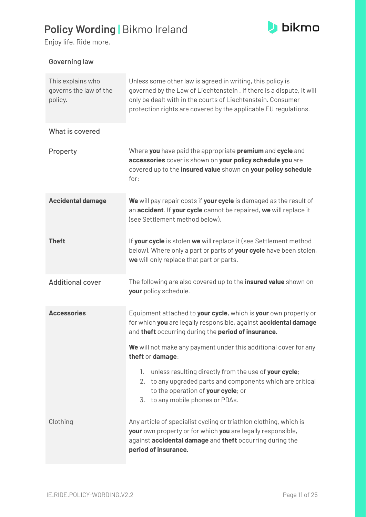

Enjoy life. Ride more.

#### Governing law

<span id="page-10-1"></span><span id="page-10-0"></span>

| This explains who<br>governs the law of the<br>policy. | Unless some other law is agreed in writing, this policy is<br>governed by the Law of Liechtenstein . If there is a dispute, it will<br>only be dealt with in the courts of Liechtenstein. Consumer<br>protection rights are covered by the applicable EU regulations. |
|--------------------------------------------------------|-----------------------------------------------------------------------------------------------------------------------------------------------------------------------------------------------------------------------------------------------------------------------|
| What is covered                                        |                                                                                                                                                                                                                                                                       |
| Property                                               | Where you have paid the appropriate premium and cycle and<br>accessories cover is shown on your policy schedule you are<br>covered up to the insured value shown on your policy schedule<br>for:                                                                      |
| <b>Accidental damage</b>                               | We will pay repair costs if your cycle is damaged as the result of<br>an accident. If your cycle cannot be repaired, we will replace it<br>(see Settlement method below).                                                                                             |
| <b>Theft</b>                                           | If your cycle is stolen we will replace it (see Settlement method<br>below). Where only a part or parts of your cycle have been stolen,<br>we will only replace that part or parts.                                                                                   |
| <b>Additional cover</b>                                | The following are also covered up to the <b>insured value</b> shown on<br>your policy schedule.                                                                                                                                                                       |
| <b>Accessories</b>                                     | Equipment attached to your cycle, which is your own property or<br>for which you are legally responsible, against accidental damage<br>and theft occurring during the period of insurance.                                                                            |
|                                                        | We will not make any payment under this additional cover for any<br>theft or damage:                                                                                                                                                                                  |
|                                                        | unless resulting directly from the use of your cycle;<br>1.<br>2. to any upgraded parts and components which are critical<br>to the operation of your cycle; or<br>3. to any mobile phones or PDAs.                                                                   |
| Clothing                                               | Any article of specialist cycling or triathlon clothing, which is<br>your own property or for which you are legally responsible,<br>against accidental damage and theft occurring during the<br>period of insurance.                                                  |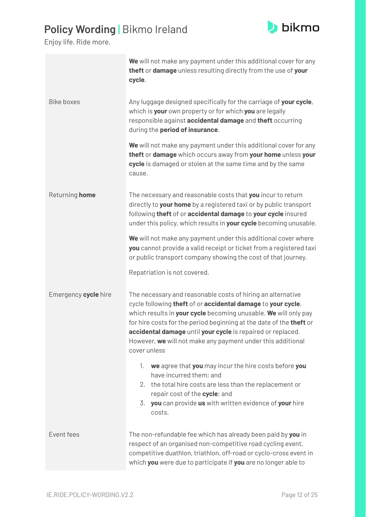

|                      | We will not make any payment under this additional cover for any<br>theft or damage unless resulting directly from the use of your<br>cycle.                                                                                                                                                                                                                                                                        |
|----------------------|---------------------------------------------------------------------------------------------------------------------------------------------------------------------------------------------------------------------------------------------------------------------------------------------------------------------------------------------------------------------------------------------------------------------|
| <b>Bike boxes</b>    | Any luggage designed specifically for the carriage of your cycle,<br>which is your own property or for which you are legally<br>responsible against accidental damage and theft occurring<br>during the period of insurance.                                                                                                                                                                                        |
|                      | We will not make any payment under this additional cover for any<br>theft or damage which occurs away from your home unless your<br>cycle is damaged or stolen at the same time and by the same<br>cause.                                                                                                                                                                                                           |
| Returning home       | The necessary and reasonable costs that you incur to return<br>directly to your home by a registered taxi or by public transport<br>following theft of or accidental damage to your cycle insured<br>under this policy, which results in your cycle becoming unusable.                                                                                                                                              |
|                      | We will not make any payment under this additional cover where<br>you cannot provide a valid receipt or ticket from a registered taxi<br>or public transport company showing the cost of that journey.<br>Repatriation is not covered.                                                                                                                                                                              |
| Emergency cycle hire | The necessary and reasonable costs of hiring an alternative<br>cycle following theft of or accidental damage to your cycle,<br>which results in your cycle becoming unusable. We will only pay<br>for hire costs for the period beginning at the date of the theft or<br>accidental damage until your cycle is repaired or replaced.<br>However, we will not make any payment under this additional<br>cover unless |
|                      | we agree that you may incur the hire costs before you<br>1.<br>have incurred them; and<br>the total hire costs are less than the replacement or<br>2.<br>repair cost of the cycle; and<br>you can provide us with written evidence of your hire<br>3.<br>costs.                                                                                                                                                     |
| Event fees           | The non-refundable fee which has already been paid by you in<br>respect of an organised non-competitive road cycling event,<br>competitive duathlon, triathlon, off-road or cyclo-cross event in<br>which you were due to participate if you are no longer able to                                                                                                                                                  |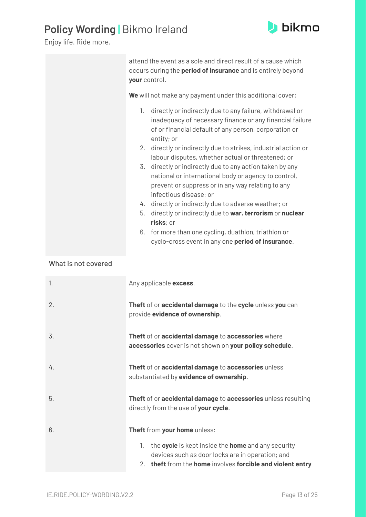

Enjoy life. Ride more.

| attend the event as a sole and direct result of a cause which<br>occurs during the <b>period of insurance</b> and is entirely beyond<br>your control.                                             |
|---------------------------------------------------------------------------------------------------------------------------------------------------------------------------------------------------|
| We will not make any payment under this additional cover:                                                                                                                                         |
| directly or indirectly due to any failure, withdrawal or<br>1.<br>inadequacy of necessary finance or any financial failure<br>of or financial default of any person, corporation or<br>entity; or |
| 2. directly or indirectly due to strikes, industrial action or<br>labour disputes, whether actual or threatened; or                                                                               |
| 3. directly or indirectly due to any action taken by any<br>national or international body or agency to control,<br>prevent or suppress or in any way relating to any<br>infectious disease; or   |
| 4. directly or indirectly due to adverse weather; or                                                                                                                                              |
| directly or indirectly due to war, terrorism or nuclear<br>5.<br>risks; or                                                                                                                        |
| 6. for more than one cycling, duathlon, triathlon or<br>cyclo-cross event in any one <b>period of insurance</b> .                                                                                 |

#### What is not covered

| 1. | Any applicable excess.                                                                                                                                                     |
|----|----------------------------------------------------------------------------------------------------------------------------------------------------------------------------|
| 2. | Theft of or accidental damage to the cycle unless you can<br>provide evidence of ownership.                                                                                |
| 3. | Theft of or accidental damage to accessories where<br>accessories cover is not shown on your policy schedule.                                                              |
| 4. | Theft of or accidental damage to accessories unless<br>substantiated by evidence of ownership.                                                                             |
| 5. | Theft of or accidental damage to accessories unless resulting<br>directly from the use of your cycle.                                                                      |
| 6. | Theft from your home unless:                                                                                                                                               |
|    | the cycle is kept inside the home and any security<br>1.<br>devices such as door locks are in operation; and<br>2. theft from the home involves forcible and violent entry |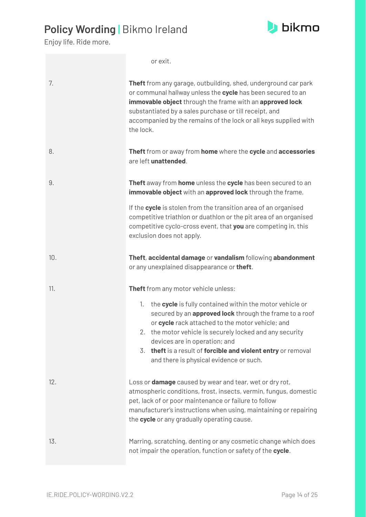

|     | or exit.                                                                                                                                                                                                                                                                                                                                                                                                                       |
|-----|--------------------------------------------------------------------------------------------------------------------------------------------------------------------------------------------------------------------------------------------------------------------------------------------------------------------------------------------------------------------------------------------------------------------------------|
| 7.  | <b>Theft</b> from any garage, outbuilding, shed, underground car park<br>or communal hallway unless the cycle has been secured to an<br>immovable object through the frame with an approved lock<br>substantiated by a sales purchase or till receipt, and<br>accompanied by the remains of the lock or all keys supplied with<br>the lock.                                                                                    |
| 8.  | Theft from or away from home where the cycle and accessories<br>are left unattended.                                                                                                                                                                                                                                                                                                                                           |
| 9.  | Theft away from home unless the cycle has been secured to an<br>immovable object with an approved lock through the frame.                                                                                                                                                                                                                                                                                                      |
|     | If the cycle is stolen from the transition area of an organised<br>competitive triathlon or duathlon or the pit area of an organised<br>competitive cyclo-cross event, that you are competing in, this<br>exclusion does not apply.                                                                                                                                                                                            |
| 10. | Theft, accidental damage or vandalism following abandonment<br>or any unexplained disappearance or theft.                                                                                                                                                                                                                                                                                                                      |
| 11. | Theft from any motor vehicle unless:<br>the cycle is fully contained within the motor vehicle or<br>1.<br>secured by an approved lock through the frame to a roof<br>or cycle rack attached to the motor vehicle; and<br>2. the motor vehicle is securely locked and any security<br>devices are in operation; and<br>3. theft is a result of forcible and violent entry or removal<br>and there is physical evidence or such. |
| 12. | Loss or <b>damage</b> caused by wear and tear, wet or dry rot,<br>atmospheric conditions, frost, insects, vermin, fungus, domestic<br>pet, lack of or poor maintenance or failure to follow<br>manufacturer's instructions when using, maintaining or repairing<br>the cycle or any gradually operating cause.                                                                                                                 |
| 13. | Marring, scratching, denting or any cosmetic change which does<br>not impair the operation, function or safety of the cycle.                                                                                                                                                                                                                                                                                                   |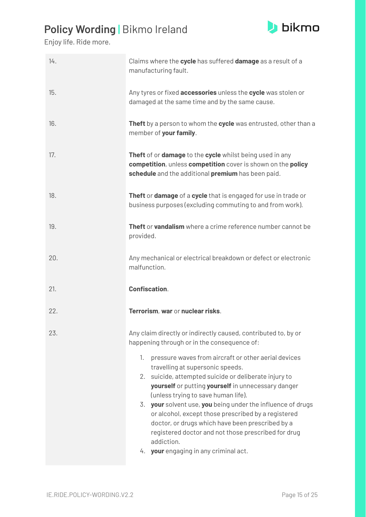

| Any tyres or fixed accessories unless the cycle was stolen or<br>damaged at the same time and by the same cause.<br>Theft by a person to whom the cycle was entrusted, other than a<br>Theft of or damage to the cycle whilst being used in any                                                                                                                                                      |
|------------------------------------------------------------------------------------------------------------------------------------------------------------------------------------------------------------------------------------------------------------------------------------------------------------------------------------------------------------------------------------------------------|
|                                                                                                                                                                                                                                                                                                                                                                                                      |
|                                                                                                                                                                                                                                                                                                                                                                                                      |
| competition, unless competition cover is shown on the policy<br>schedule and the additional premium has been paid.                                                                                                                                                                                                                                                                                   |
| Theft or damage of a cycle that is engaged for use in trade or<br>business purposes (excluding commuting to and from work).                                                                                                                                                                                                                                                                          |
| Theft or vandalism where a crime reference number cannot be                                                                                                                                                                                                                                                                                                                                          |
| Any mechanical or electrical breakdown or defect or electronic                                                                                                                                                                                                                                                                                                                                       |
|                                                                                                                                                                                                                                                                                                                                                                                                      |
|                                                                                                                                                                                                                                                                                                                                                                                                      |
| Any claim directly or indirectly caused, contributed to, by or                                                                                                                                                                                                                                                                                                                                       |
| pressure waves from aircraft or other aerial devices<br>2. suicide, attempted suicide or deliberate injury to<br>yourself or putting yourself in unnecessary danger<br>3. your solvent use, you being under the influence of drugs<br>or alcohol, except those prescribed by a registered<br>doctor, or drugs which have been prescribed by a<br>registered doctor and not those prescribed for drug |
|                                                                                                                                                                                                                                                                                                                                                                                                      |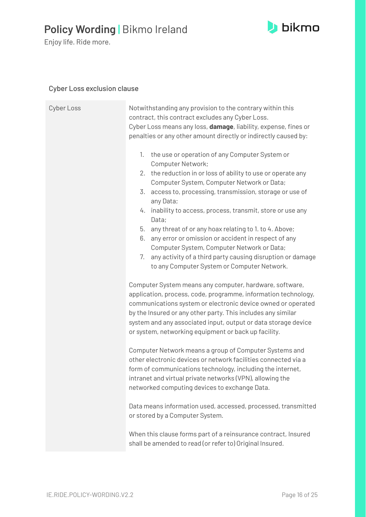

#### **b**ikmo

#### Cyber Loss exclusion clause

| Cyber Loss | Notwithstanding any provision to the contrary within this<br>contract, this contract excludes any Cyber Loss.<br>Cyber Loss means any loss, damage, liability, expense, fines or<br>penalties or any other amount directly or indirectly caused by:                                                                                                                                                                                                                                                                                                                                                                                     |
|------------|-----------------------------------------------------------------------------------------------------------------------------------------------------------------------------------------------------------------------------------------------------------------------------------------------------------------------------------------------------------------------------------------------------------------------------------------------------------------------------------------------------------------------------------------------------------------------------------------------------------------------------------------|
|            | the use or operation of any Computer System or<br>1.<br><b>Computer Network;</b><br>2. the reduction in or loss of ability to use or operate any<br>Computer System, Computer Network or Data;<br>3. access to, processing, transmission, storage or use of<br>any Data;<br>4. inability to access, process, transmit, store or use any<br>Data;<br>5. any threat of or any hoax relating to 1. to 4. Above;<br>6. any error or omission or accident in respect of any<br>Computer System, Computer Network or Data;<br>7.<br>any activity of a third party causing disruption or damage<br>to any Computer System or Computer Network. |
|            | Computer System means any computer, hardware, software,<br>application, process, code, programme, information technology,<br>communications system or electronic device owned or operated<br>by the Insured or any other party. This includes any similar<br>system and any associated input, output or data storage device<br>or system, networking equipment or back up facility.                                                                                                                                                                                                                                                     |
|            | Computer Network means a group of Computer Systems and<br>other electronic devices or network facilities connected via a<br>form of communications technology, including the internet,<br>intranet and virtual private networks (VPN), allowing the<br>networked computing devices to exchange Data.                                                                                                                                                                                                                                                                                                                                    |
|            | Data means information used, accessed, processed, transmitted<br>or stored by a Computer System.                                                                                                                                                                                                                                                                                                                                                                                                                                                                                                                                        |
|            | When this clause forms part of a reinsurance contract, Insured<br>shall be amended to read (or refer to) Original Insured.                                                                                                                                                                                                                                                                                                                                                                                                                                                                                                              |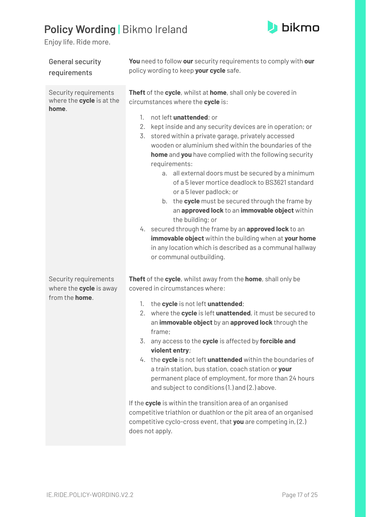

<span id="page-16-0"></span>

| <b>General security</b><br>requirements                                    | You need to follow our security requirements to comply with our<br>policy wording to keep your cycle safe.                                                                                                                                                                                                                                                                                                                                                                                                                                                                                                                                                                                                                                                                    |
|----------------------------------------------------------------------------|-------------------------------------------------------------------------------------------------------------------------------------------------------------------------------------------------------------------------------------------------------------------------------------------------------------------------------------------------------------------------------------------------------------------------------------------------------------------------------------------------------------------------------------------------------------------------------------------------------------------------------------------------------------------------------------------------------------------------------------------------------------------------------|
| Security requirements<br>where the <b>cycle</b> is at the<br>home.         | Theft of the cycle, whilst at home, shall only be covered in<br>circumstances where the cycle is:                                                                                                                                                                                                                                                                                                                                                                                                                                                                                                                                                                                                                                                                             |
|                                                                            | 1.<br>not left unattended; or<br>2.<br>kept inside and any security devices are in operation; or<br>3.<br>stored within a private garage, privately accessed<br>wooden or aluminium shed within the boundaries of the<br>home and you have complied with the following security<br>requirements:<br>a. all external doors must be secured by a minimum<br>of a 5 lever mortice deadlock to BS3621 standard<br>or a 5 lever padlock; or<br>b. the cycle must be secured through the frame by<br>an approved lock to an immovable object within<br>the building; or<br>4. secured through the frame by an approved lock to an<br>immovable object within the building when at your home<br>in any location which is described as a communal hallway<br>or communal outbuilding. |
| Security requirements<br>where the cycle is away<br>from the <b>home</b> . | Theft of the cycle, whilst away from the home, shall only be<br>covered in circumstances where:                                                                                                                                                                                                                                                                                                                                                                                                                                                                                                                                                                                                                                                                               |
|                                                                            | the cycle is not left unattended;<br>1.<br>2. where the cycle is left unattended, it must be secured to<br>an immovable object by an approved lock through the<br>frame;<br>3.<br>any access to the cycle is affected by forcible and<br>violent entry;<br>4. the cycle is not left unattended within the boundaries of<br>a train station, bus station, coach station or your<br>permanent place of employment, for more than 24 hours<br>and subject to conditions (1.) and (2.) above.                                                                                                                                                                                                                                                                                     |
|                                                                            | If the cycle is within the transition area of an organised<br>competitive triathlon or duathlon or the pit area of an organised<br>competitive cyclo-cross event, that you are competing in, (2.)<br>does not apply.                                                                                                                                                                                                                                                                                                                                                                                                                                                                                                                                                          |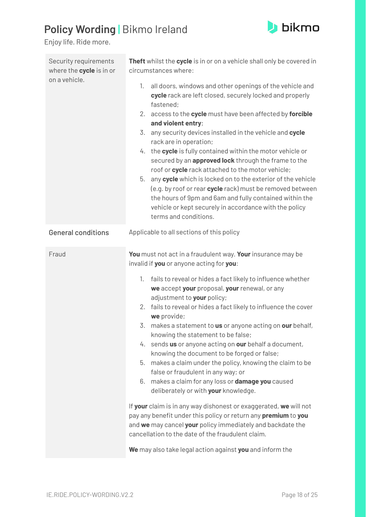

<span id="page-17-0"></span>

| Security requirements<br>where the cycle is in or | Theft whilst the cycle is in or on a vehicle shall only be covered in<br>circumstances where:                                                                                                                                                                                                                                                                                                                                                                                                                                                                                                                                                                      |
|---------------------------------------------------|--------------------------------------------------------------------------------------------------------------------------------------------------------------------------------------------------------------------------------------------------------------------------------------------------------------------------------------------------------------------------------------------------------------------------------------------------------------------------------------------------------------------------------------------------------------------------------------------------------------------------------------------------------------------|
| on a vehicle.                                     | all doors, windows and other openings of the vehicle and<br>1.<br>cycle rack are left closed, securely locked and properly<br>fastened;                                                                                                                                                                                                                                                                                                                                                                                                                                                                                                                            |
|                                                   | 2. access to the cycle must have been affected by forcible<br>and violent entry;                                                                                                                                                                                                                                                                                                                                                                                                                                                                                                                                                                                   |
|                                                   | 3. any security devices installed in the vehicle and cycle<br>rack are in operation;<br>4. the cycle is fully contained within the motor vehicle or<br>secured by an approved lock through the frame to the<br>roof or cycle rack attached to the motor vehicle;<br>5. any cycle which is locked on to the exterior of the vehicle<br>(e.g. by roof or rear cycle rack) must be removed between<br>the hours of 9pm and 6am and fully contained within the<br>vehicle or kept securely in accordance with the policy<br>terms and conditions.                                                                                                                      |
| <b>General conditions</b>                         | Applicable to all sections of this policy                                                                                                                                                                                                                                                                                                                                                                                                                                                                                                                                                                                                                          |
| Fraud                                             | You must not act in a fraudulent way. Your insurance may be<br>invalid if you or anyone acting for you:<br>fails to reveal or hides a fact likely to influence whether<br>1.<br>we accept your proposal, your renewal, or any<br>adjustment to your policy;<br>2. fails to reveal or hides a fact likely to influence the cover<br>we provide;<br>3. makes a statement to us or anyone acting on our behalf,<br>knowing the statement to be false;<br>4. sends us or anyone acting on our behalf a document,<br>knowing the document to be forged or false;<br>5.<br>makes a claim under the policy, knowing the claim to be<br>false or fraudulent in any way; or |
|                                                   | makes a claim for any loss or <b>damage you</b> caused<br>6.<br>deliberately or with your knowledge.                                                                                                                                                                                                                                                                                                                                                                                                                                                                                                                                                               |
|                                                   | If your claim is in any way dishonest or exaggerated, we will not<br>pay any benefit under this policy or return any premium to you<br>and we may cancel your policy immediately and backdate the<br>cancellation to the date of the fraudulent claim.                                                                                                                                                                                                                                                                                                                                                                                                             |
|                                                   | We may also take legal action against you and inform the                                                                                                                                                                                                                                                                                                                                                                                                                                                                                                                                                                                                           |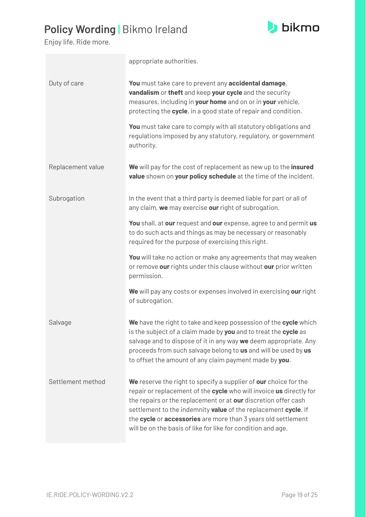

|                   | appropriate authorities.                                                                                                                                                                                                                                                                                                                                                                                     |
|-------------------|--------------------------------------------------------------------------------------------------------------------------------------------------------------------------------------------------------------------------------------------------------------------------------------------------------------------------------------------------------------------------------------------------------------|
| Duty of care      | You must take care to prevent any accidental damage,<br>vandalism or theft and keep your cycle and the security<br>measures, including in your home and on or in your vehicle,<br>protecting the cycle, in a good state of repair and condition.                                                                                                                                                             |
|                   | You must take care to comply with all statutory obligations and<br>regulations imposed by any statutory, regulatory, or government<br>authority.                                                                                                                                                                                                                                                             |
| Replacement value | We will pay for the cost of replacement as new up to the insured<br>value shown on your policy schedule at the time of the incident.                                                                                                                                                                                                                                                                         |
| Subrogation       | In the event that a third party is deemed liable for part or all of<br>any claim, we may exercise our right of subrogation.                                                                                                                                                                                                                                                                                  |
|                   | You shall, at our request and our expense, agree to and permit us<br>to do such acts and things as may be necessary or reasonably<br>required for the purpose of exercising this right.                                                                                                                                                                                                                      |
|                   | You will take no action or make any agreements that may weaken<br>or remove our rights under this clause without our prior written<br>permission.                                                                                                                                                                                                                                                            |
|                   | We will pay any costs or expenses involved in exercising our right<br>of subrogation.                                                                                                                                                                                                                                                                                                                        |
| Salvage           | We have the right to take and keep possession of the cycle which<br>is the subject of a claim made by you and to treat the cycle as<br>salvage and to dispose of it in any way we deem appropriate. Any<br>proceeds from such salvage belong to us and will be used by us<br>to offset the amount of any claim payment made by you.                                                                          |
| Settlement method | We reserve the right to specify a supplier of our choice for the<br>repair or replacement of the cycle who will invoice us directly for<br>the repairs or the replacement or at our discretion offer cash<br>settlement to the indemnity value of the replacement cycle. If<br>the cycle or accessories are more than 3 years old settlement<br>will be on the basis of like for like for condition and age. |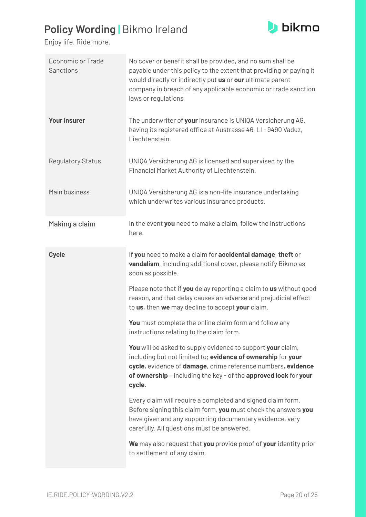

<span id="page-19-0"></span>

| <b>Economic or Trade</b><br><b>Sanctions</b> | No cover or benefit shall be provided, and no sum shall be<br>payable under this policy to the extent that providing or paying it<br>would directly or indirectly put us or our ultimate parent<br>company in breach of any applicable economic or trade sanction<br>laws or regulations |
|----------------------------------------------|------------------------------------------------------------------------------------------------------------------------------------------------------------------------------------------------------------------------------------------------------------------------------------------|
| <b>Your insurer</b>                          | The underwriter of your insurance is UNIQA Versicherung AG,<br>having its registered office at Austrasse 46, LI-9490 Vaduz,<br>Liechtenstein.                                                                                                                                            |
| <b>Regulatory Status</b>                     | UNIQA Versicherung AG is licensed and supervised by the<br>Financial Market Authority of Liechtenstein.                                                                                                                                                                                  |
| Main business                                | UNIQA Versicherung AG is a non-life insurance undertaking<br>which underwrites various insurance products.                                                                                                                                                                               |
| Making a claim                               | In the event you need to make a claim, follow the instructions<br>here.                                                                                                                                                                                                                  |
| <b>Cycle</b>                                 | If you need to make a claim for accidental damage, theft or<br>vandalism, including additional cover, please notify Bikmo as<br>soon as possible.                                                                                                                                        |
|                                              | Please note that if you delay reporting a claim to us without good<br>reason, and that delay causes an adverse and prejudicial effect<br>to us, then we may decline to accept your claim.                                                                                                |
|                                              | You must complete the online claim form and follow any<br>instructions relating to the claim form.                                                                                                                                                                                       |
|                                              | You will be asked to supply evidence to support your claim,<br>including but not limited to; evidence of ownership for your<br>cycle, evidence of damage, crime reference numbers, evidence<br>of ownership - including the key - of the approved lock for your<br>cycle.                |
|                                              | Every claim will require a completed and signed claim form.<br>Before signing this claim form, you must check the answers you<br>have given and any supporting documentary evidence, very<br>carefully. All questions must be answered.                                                  |
|                                              | We may also request that you provide proof of your identity prior<br>to settlement of any claim.                                                                                                                                                                                         |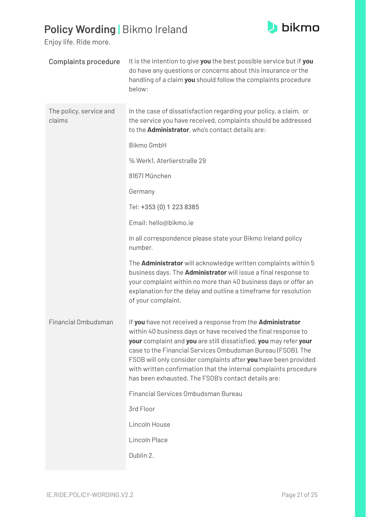

<span id="page-20-0"></span>

| <b>Complaints procedure</b>       | It is the intention to give you the best possible service but if you<br>do have any questions or concerns about this insurance or the<br>handling of a claim you should follow the complaints procedure<br>below:                                                                                                                                                                                                                                              |
|-----------------------------------|----------------------------------------------------------------------------------------------------------------------------------------------------------------------------------------------------------------------------------------------------------------------------------------------------------------------------------------------------------------------------------------------------------------------------------------------------------------|
| The policy, service and<br>claims | In the case of dissatisfaction regarding your policy, a claim, or<br>the service you have received, complaints should be addressed<br>to the <b>Administrator</b> , who's contact details are:                                                                                                                                                                                                                                                                 |
|                                   | <b>Bikmo GmbH</b>                                                                                                                                                                                                                                                                                                                                                                                                                                              |
|                                   | % Werk1, Aterlierstraße 29                                                                                                                                                                                                                                                                                                                                                                                                                                     |
|                                   | 81671 München                                                                                                                                                                                                                                                                                                                                                                                                                                                  |
|                                   | Germany                                                                                                                                                                                                                                                                                                                                                                                                                                                        |
|                                   | Tel: +353 (0) 1 223 8385                                                                                                                                                                                                                                                                                                                                                                                                                                       |
|                                   | Email: hello@bikmo.ie                                                                                                                                                                                                                                                                                                                                                                                                                                          |
|                                   | In all correspondence please state your Bikmo Ireland policy<br>number.                                                                                                                                                                                                                                                                                                                                                                                        |
|                                   | The <b>Administrator</b> will acknowledge written complaints within 5<br>business days. The <b>Administrator</b> will issue a final response to<br>your complaint within no more than 40 business days or offer an<br>explanation for the delay and outline a timeframe for resolution<br>of your complaint.                                                                                                                                                   |
| <b>Financial Ombudsman</b>        | If you have not received a response from the Administrator<br>within 40 business days or have received the final response to<br>your complaint and you are still dissatisfied, you may refer your<br>case to the Financial Services Ombudsman Bureau (FSOB). The<br>FSOB will only consider complaints after you have been provided<br>with written confirmation that the internal complaints procedure<br>has been exhausted. The FSOB's contact details are: |
|                                   | Financial Services Ombudsman Bureau                                                                                                                                                                                                                                                                                                                                                                                                                            |
|                                   | 3rd Floor                                                                                                                                                                                                                                                                                                                                                                                                                                                      |
|                                   | Lincoln House                                                                                                                                                                                                                                                                                                                                                                                                                                                  |
|                                   | Lincoln Place                                                                                                                                                                                                                                                                                                                                                                                                                                                  |
|                                   | Dublin 2.                                                                                                                                                                                                                                                                                                                                                                                                                                                      |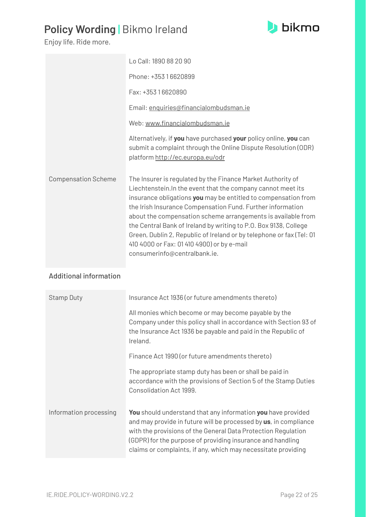#### **b**ikmo

# **Policy Wording |** Bikmo Ireland

Enjoy life. Ride more.

|                            | Lo Call: 1890 88 20 90                                                                                                                                                                                                                                                                                                                                                                                                                                                                                                                                |
|----------------------------|-------------------------------------------------------------------------------------------------------------------------------------------------------------------------------------------------------------------------------------------------------------------------------------------------------------------------------------------------------------------------------------------------------------------------------------------------------------------------------------------------------------------------------------------------------|
|                            | Phone: +353 16620899                                                                                                                                                                                                                                                                                                                                                                                                                                                                                                                                  |
|                            | Fax: +353 16620890                                                                                                                                                                                                                                                                                                                                                                                                                                                                                                                                    |
|                            | Email: enquiries@financialombudsman.ie                                                                                                                                                                                                                                                                                                                                                                                                                                                                                                                |
|                            | Web: www.financialombudsman.ie                                                                                                                                                                                                                                                                                                                                                                                                                                                                                                                        |
|                            | Alternatively, if you have purchased your policy online, you can<br>submit a complaint through the Online Dispute Resolution (ODR)<br>platform http://ec.europa.eu/odr                                                                                                                                                                                                                                                                                                                                                                                |
| <b>Compensation Scheme</b> | The Insurer is regulated by the Finance Market Authority of<br>Liechtenstein. In the event that the company cannot meet its<br>insurance obligations you may be entitled to compensation from<br>the Irish Insurance Compensation Fund. Further information<br>about the compensation scheme arrangements is available from<br>the Central Bank of Ireland by writing to P.O. Box 9138, College<br>Green, Dublin 2, Republic of Ireland or by telephone or fax (Tel: 01<br>410 4000 or Fax: 01 410 4900) or by e-mail<br>consumerinfo@centralbank.ie. |

#### <span id="page-21-0"></span>Additional information

| <b>Stamp Duty</b>      | Insurance Act 1936 (or future amendments thereto)                                                                                                                                                                                                                                                                                       |
|------------------------|-----------------------------------------------------------------------------------------------------------------------------------------------------------------------------------------------------------------------------------------------------------------------------------------------------------------------------------------|
|                        | All monies which become or may become payable by the<br>Company under this policy shall in accordance with Section 93 of<br>the Insurance Act 1936 be payable and paid in the Republic of<br>Ireland.                                                                                                                                   |
|                        | Finance Act 1990 (or future amendments thereto)                                                                                                                                                                                                                                                                                         |
|                        | The appropriate stamp duty has been or shall be paid in<br>accordance with the provisions of Section 5 of the Stamp Duties<br>Consolidation Act 1999.                                                                                                                                                                                   |
| Information processing | <b>You</b> should understand that any information you have provided<br>and may provide in future will be processed by us, in compliance<br>with the provisions of the General Data Protection Regulation<br>(GDPR) for the purpose of providing insurance and handling<br>claims or complaints, if any, which may necessitate providing |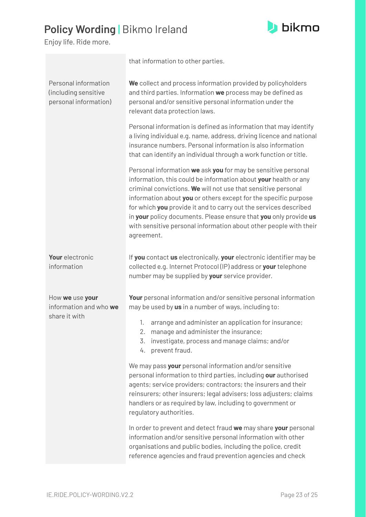

|                                                                       | that information to other parties.                                                                                                                                                                                                                                                                                                                                                                                                                                                              |
|-----------------------------------------------------------------------|-------------------------------------------------------------------------------------------------------------------------------------------------------------------------------------------------------------------------------------------------------------------------------------------------------------------------------------------------------------------------------------------------------------------------------------------------------------------------------------------------|
| Personal information<br>(including sensitive<br>personal information) | We collect and process information provided by policyholders<br>and third parties. Information we process may be defined as<br>personal and/or sensitive personal information under the<br>relevant data protection laws.                                                                                                                                                                                                                                                                       |
|                                                                       | Personal information is defined as information that may identify<br>a living individual e.g. name, address, driving licence and national<br>insurance numbers. Personal information is also information<br>that can identify an individual through a work function or title.                                                                                                                                                                                                                    |
|                                                                       | Personal information we ask you for may be sensitive personal<br>information, this could be information about your health or any<br>criminal convictions. We will not use that sensitive personal<br>information about you or others except for the specific purpose<br>for which you provide it and to carry out the services described<br>in your policy documents. Please ensure that you only provide us<br>with sensitive personal information about other people with their<br>agreement. |
| Your electronic<br>information                                        | If you contact us electronically, your electronic identifier may be<br>collected e.g. Internet Protocol (IP) address or your telephone<br>number may be supplied by your service provider.                                                                                                                                                                                                                                                                                                      |
| How we use your<br>information and who we<br>share it with            | Your personal information and/or sensitive personal information<br>may be used by us in a number of ways, including to:<br>arrange and administer an application for insurance;<br>1.<br>manage and administer the insurance;                                                                                                                                                                                                                                                                   |
|                                                                       | investigate, process and manage claims; and/or<br>3.<br>prevent fraud.<br>4.                                                                                                                                                                                                                                                                                                                                                                                                                    |
|                                                                       | We may pass your personal information and/or sensitive<br>personal information to third parties, including our authorised<br>agents; service providers; contractors; the insurers and their<br>reinsurers; other insurers; legal advisers; loss adjusters; claims<br>handlers or as required by law, including to government or<br>regulatory authorities.                                                                                                                                      |
|                                                                       | In order to prevent and detect fraud we may share your personal<br>information and/or sensitive personal information with other<br>organisations and public bodies, including the police, credit<br>reference agencies and fraud prevention agencies and check                                                                                                                                                                                                                                  |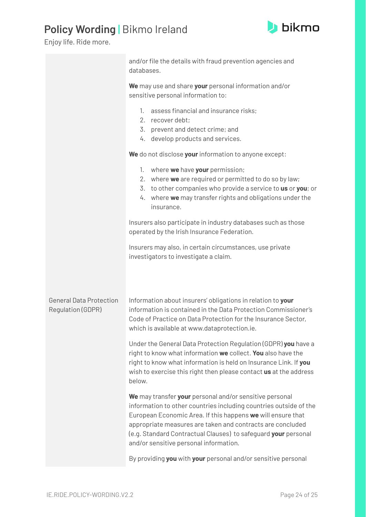

|                                                     | and/or file the details with fraud prevention agencies and<br>databases.                                                                                                                                                                                                                                                                                              |
|-----------------------------------------------------|-----------------------------------------------------------------------------------------------------------------------------------------------------------------------------------------------------------------------------------------------------------------------------------------------------------------------------------------------------------------------|
|                                                     | We may use and share your personal information and/or<br>sensitive personal information to:                                                                                                                                                                                                                                                                           |
|                                                     | assess financial and insurance risks;<br>$1_{\cdot}$<br>2. recover debt;<br>3. prevent and detect crime; and<br>develop products and services.<br>4.                                                                                                                                                                                                                  |
|                                                     | We do not disclose your information to anyone except:                                                                                                                                                                                                                                                                                                                 |
|                                                     | where we have your permission;<br>1.<br>2. where we are required or permitted to do so by law;<br>3. to other companies who provide a service to us or you; or<br>4. where we may transfer rights and obligations under the<br>insurance.                                                                                                                             |
|                                                     | Insurers also participate in industry databases such as those<br>operated by the Irish Insurance Federation.                                                                                                                                                                                                                                                          |
|                                                     | Insurers may also, in certain circumstances, use private<br>investigators to investigate a claim.                                                                                                                                                                                                                                                                     |
| <b>General Data Protection</b><br>Regulation (GDPR) | Information about insurers' obligations in relation to your<br>information is contained in the Data Protection Commissioner's<br>Code of Practice on Data Protection for the Insurance Sector,<br>which is available at www.dataprotection.ie.                                                                                                                        |
|                                                     | Under the General Data Protection Regulation (GDPR) you have a<br>right to know what information we collect. You also have the<br>right to know what information is held on Insurance Link. If you<br>wish to exercise this right then please contact us at the address<br>below.                                                                                     |
|                                                     | We may transfer your personal and/or sensitive personal<br>information to other countries including countries outside of the<br>European Economic Area. If this happens we will ensure that<br>appropriate measures are taken and contracts are concluded<br>(e.g. Standard Contractual Clauses) to safeguard your personal<br>and/or sensitive personal information. |
|                                                     | By providing you with your personal and/or sensitive personal                                                                                                                                                                                                                                                                                                         |